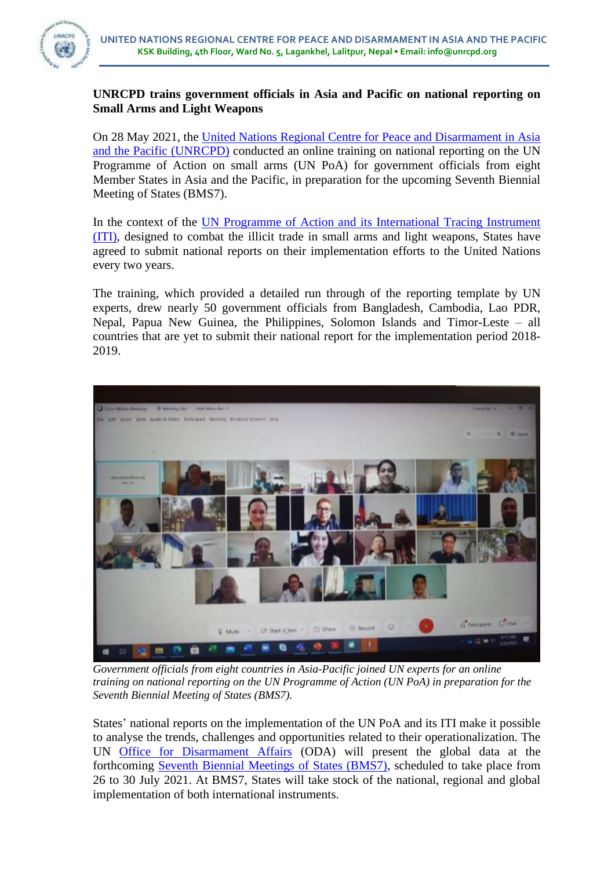

## **UNRCPD trains government officials in Asia and Pacific on national reporting on Small Arms and Light Weapons**

On 28 May 2021, the [United Nations Regional Centre for Peace and Disarmament in Asia](https://unrcpd.org/)  [and the Pacific](https://unrcpd.org/) (UNRCPD) conducted an online training on national reporting on the UN Programme of Action on small arms (UN PoA) for government officials from eight Member States in Asia and the Pacific, in preparation for the upcoming Seventh Biennial Meeting of States (BMS7).

In the context of the UN Programme of Action and [its International Tracing Instrument](https://www.un.org/disarmament/convarms/salw/programme-of-action/) [\(ITI\),](https://www.un.org/disarmament/convarms/salw/programme-of-action/) designed to combat the illicit trade in small arms and light weapons, States have agreed to submit national reports on their implementation efforts to the United Nations every two years.

The training, which provided a detailed run through of the reporting template by UN experts, drew nearly 50 government officials from Bangladesh, Cambodia, Lao PDR, Nepal, Papua New Guinea, the Philippines, Solomon Islands and Timor-Leste – all countries that are yet to submit their national report for the implementation period 2018- 2019.



*Government officials from eight countries in Asia-Pacific joined UN experts for an online training on national reporting on the UN Programme of Action (UN PoA) in preparation for the Seventh Biennial Meeting of States (BMS7).*

States' national reports on the implementation of the UN PoA and its ITI make it possible to analyse the trends, challenges and opportunities related to their operationalization. The UN [Office for Disarmament Affairs](https://www.un.org/disarmament/) (ODA) will present the global data at the forthcoming Seventh [Biennial Meetings](https://meetings.unoda.org/meeting/poa-bms7-2021/) of States (BMS7), scheduled to take place from 26 to 30 July 2021. At BMS7, States will take stock of the national, regional and global implementation of both international instruments.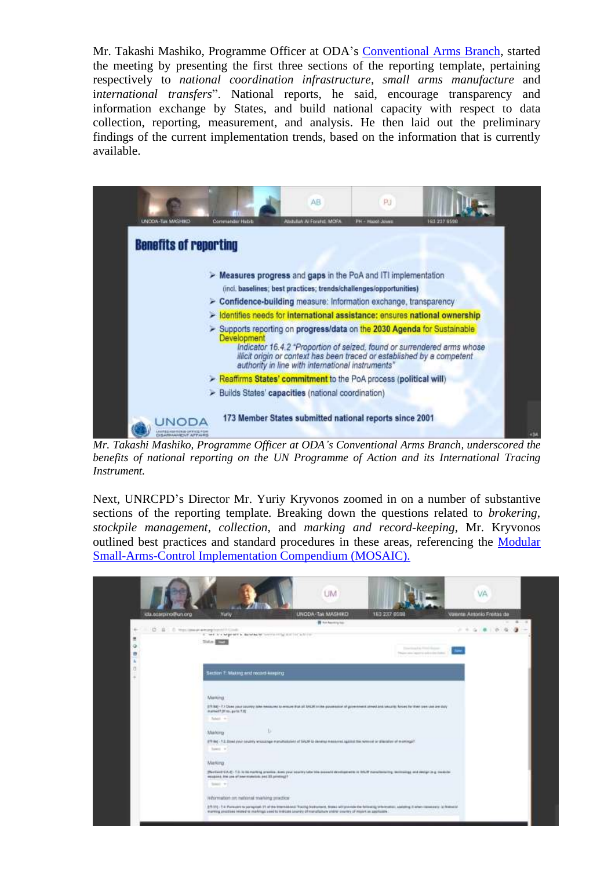Mr. Takashi Mashiko, Programme Officer at ODA's [Conventional Arms Branch,](https://www.un.org/disarmament/conventional-arms/) started the meeting by presenting the first three sections of the reporting template, pertaining respectively to *national coordination infrastructure*, *small arms manufacture* and i*nternational transfers*". National reports, he said, encourage transparency and information exchange by States, and build national capacity with respect to data collection, reporting, measurement, and analysis. He then laid out the preliminary findings of the current implementation trends, based on the information that is currently available.



*Mr. Takashi Mashiko, Programme Officer at ODA's Conventional Arms Branch, underscored the benefits of national reporting on the UN Programme of Action and its International Tracing Instrument.*

Next, UNRCPD's Director Mr. Yuriy Kryvonos zoomed in on a number of substantive sections of the reporting template. Breaking down the questions related to *brokering*, *stockpile management*, *collection*, and *marking and record-keeping*, Mr. Kryvonos outlined best practices and standard procedures in these areas, referencing the [Modular](https://www.un.org/disarmament/convarms/mosaic/)  [Small-Arms-Control Implementation Compendium \(MOSAIC\).](https://www.un.org/disarmament/convarms/mosaic/)